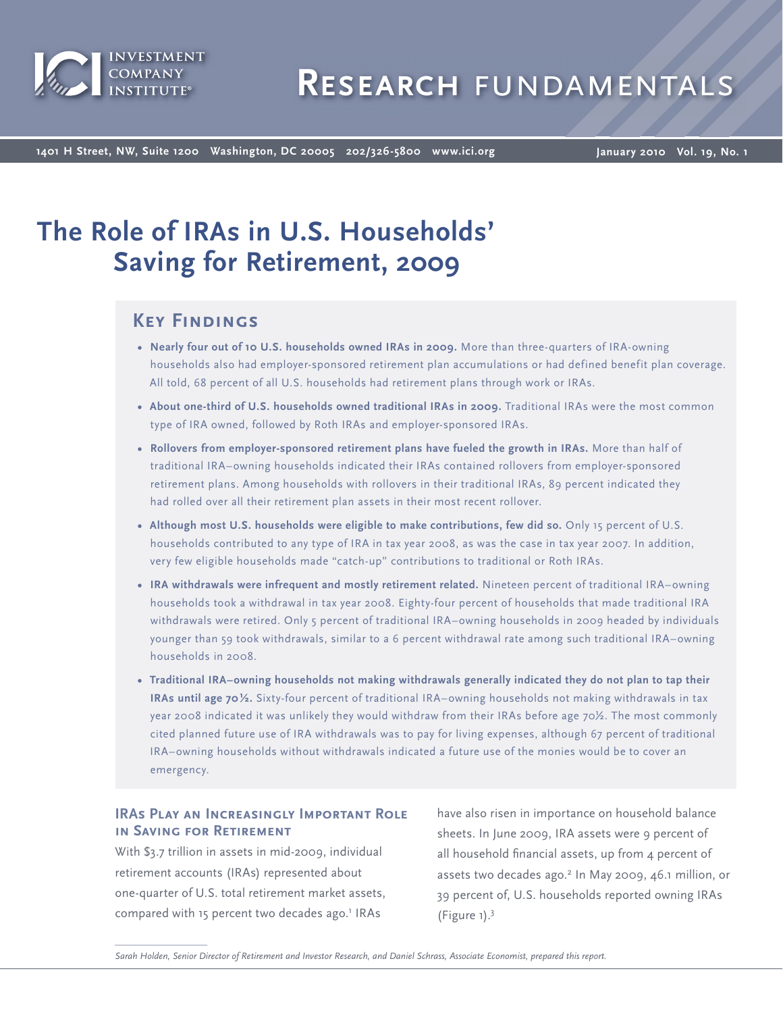

**1401 H Street, NW, Suite 1200 Washington, DC 20005 202/326-5800 www.ici.org**

**January 2010 Vol. 19, No. 1**

# **The Role of IRAs in U.S. Households' Saving for Retirement, 2009**

# **Key Findings**

- **Nearly four out of 10 U.S. households owned IRAs in 2009.** More than three-quarters of IRA-owning households also had employer-sponsored retirement plan accumulations or had defined benefit plan coverage. All told, 68 percent of all U.S. households had retirement plans through work or IRAs.
- **About one-third of U.S. households owned traditional IRAs in 2009.** Traditional IRAs were the most common type of IRA owned, followed by Roth IRAs and employer-sponsored IRAs.
- **Rollovers from employer-sponsored retirement plans have fueled the growth in IRAs.** More than half of traditional IRA–owning households indicated their IRAs contained rollovers from employer-sponsored retirement plans. Among households with rollovers in their traditional IRAs, 89 percent indicated they had rolled over all their retirement plan assets in their most recent rollover.
- Although most U.S. households were eligible to make contributions, few did so. Only 15 percent of U.S. households contributed to any type of IRA in tax year 2008, as was the case in tax year 2007. In addition, very few eligible households made "catch-up" contributions to traditional or Roth IRAs.
- **IRA withdrawals were infrequent and mostly retirement related.** Nineteen percent of traditional IRA–owning households took a withdrawal in tax year 2008. Eighty-four percent of households that made traditional IRA withdrawals were retired. Only 5 percent of traditional IRA–owning households in 2009 headed by individuals younger than 59 took withdrawals, similar to a 6 percent withdrawal rate among such traditional IRA–owning households in 2008.
- **Traditional IRA–owning households not making withdrawals generally indicated they do not plan to tap their IRAs until age 70 ½.** Sixty-four percent of traditional IRA–owning households not making withdrawals in tax year 2008 indicated it was unlikely they would withdraw from their IRAs before age 70½. The most commonly cited planned future use of IRA withdrawals was to pay for living expenses, although 67 percent of traditional IRA–owning households without withdrawals indicated a future use of the monies would be to cover an emergency.

# **IRAs Play an Increasingly Important Role in Saving for Retirement**

With \$3.7 trillion in assets in mid-2009, individual retirement accounts (IRAs) represented about one-quarter of U.S. total retirement market assets, compared with 15 percent two decades ago.<sup>1</sup> IRAs

have also risen in importance on household balance sheets. In June 2009, IRA assets were 9 percent of all household financial assets, up from  $4$  percent of assets two decades ago.2 In May 2009, 46.1 million, or 39 percent of, U.S. households reported owning IRAs (Figure 1).<sup>3</sup>

*Sarah Holden, Senior Director of Retirement and Investor Research, and Daniel Schrass, Associate Economist, prepared this report.*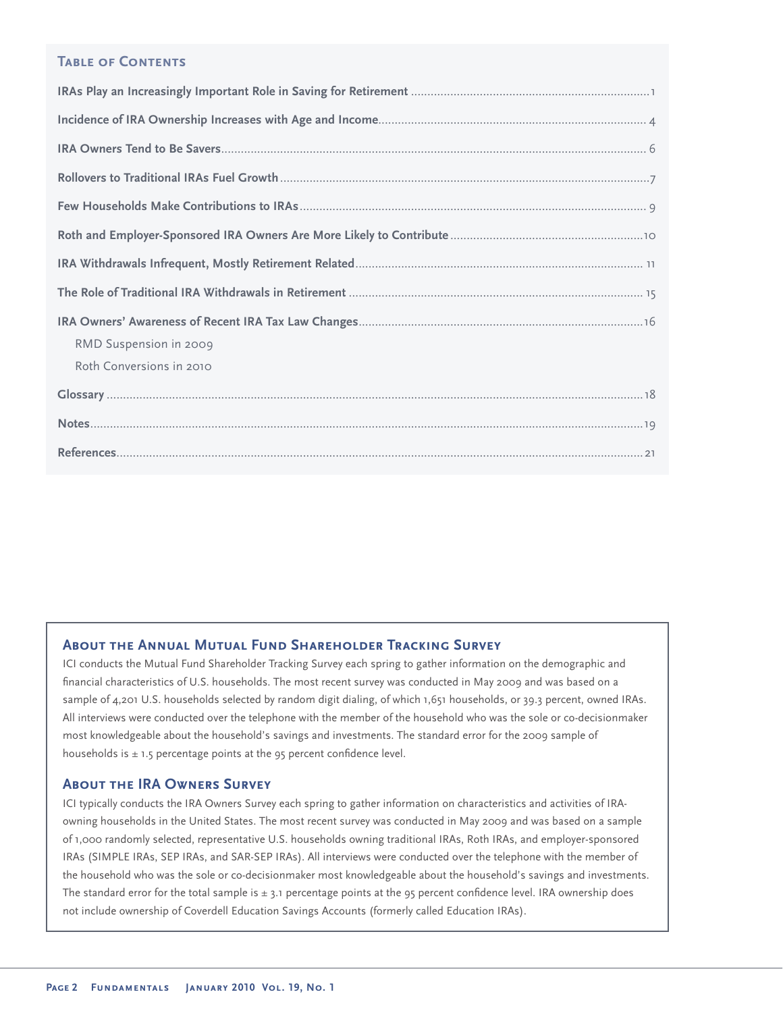# **TABLE OF CONTENTS**

| RMD Suspension in 2009   |
|--------------------------|
| Roth Conversions in 2010 |
|                          |
|                          |
|                          |

# **About the Annual Mutual Fund Shareholder Tracking Survey**

ICI conducts the Mutual Fund Shareholder Tracking Survey each spring to gather information on the demographic and financial characteristics of U.S. households. The most recent survey was conducted in May 2009 and was based on a sample of 4,201 U.S. households selected by random digit dialing, of which 1,651 households, or 39.3 percent, owned IRAs. All interviews were conducted over the telephone with the member of the household who was the sole or co-decisionmaker most knowledgeable about the household's savings and investments. The standard error for the 2009 sample of households is  $\pm$  1.5 percentage points at the 95 percent confidence level.

### **About the IRA Owners Survey**

ICI typically conducts the IRA Owners Survey each spring to gather information on characteristics and activities of IRAowning households in the United States. The most recent survey was conducted in May 2009 and was based on a sample of 1,000 randomly selected, representative U.S. households owning traditional IRAs, Roth IRAs, and employer-sponsored IRAs (SIMPLE IRAs, SEP IRAs, and SAR-SEP IRAs). All interviews were conducted over the telephone with the member of the household who was the sole or co-decisionmaker most knowledgeable about the household's savings and investments. The standard error for the total sample is  $\pm$  3.1 percentage points at the 95 percent confidence level. IRA ownership does not include ownership of Coverdell Education Savings Accounts (formerly called Education IRAs).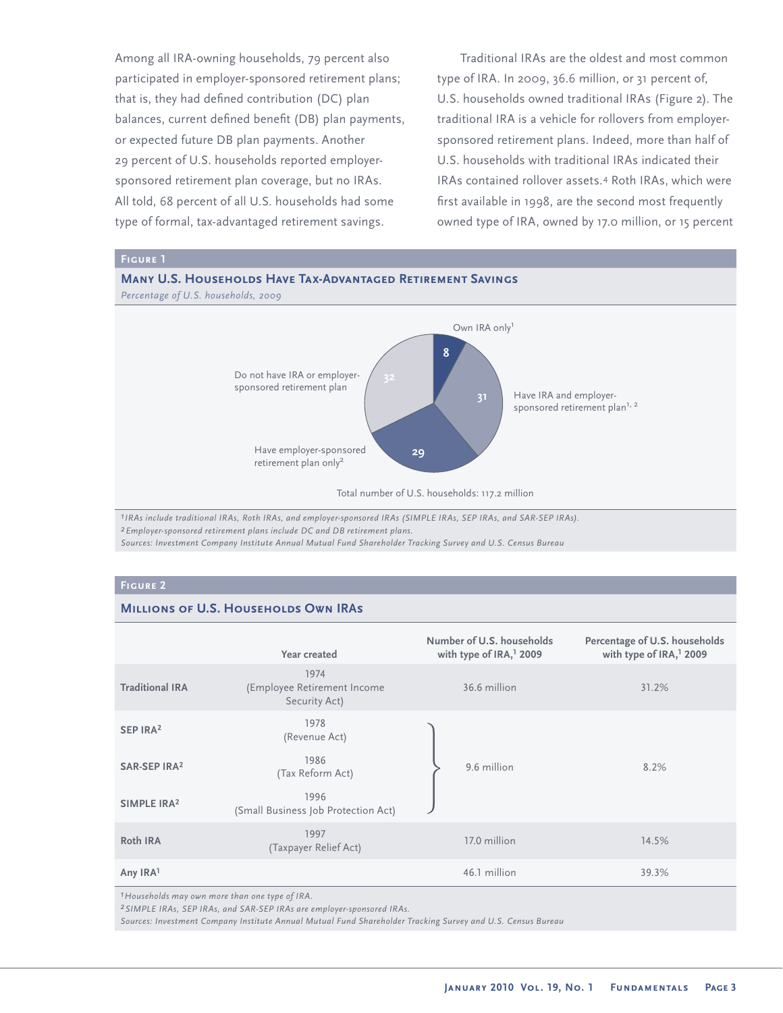Among all IRA-owning households, 79 percent also participated in employer-sponsored retirement plans; that is, they had defined contribution (DC) plan balances, current defined benefit (DB) plan payments, or expected future DB plan payments. Another 29 percent of U.S. households reported employersponsored retirement plan coverage, but no IRAs. All told, 68 percent of all U.S. households had some type of formal, tax-advantaged retirement savings.

Traditional IRAs are the oldest and most common type of IRA. In 2009, 36.6 million, or 31 percent of, U.S. households owned traditional IRAs (Figure 2). The traditional IRA is a vehicle for rollovers from employersponsored retirement plans. Indeed, more than half of U.S. households with traditional IRAs indicated their IRAs contained rollover assets.<sup>4</sup> Roth IRAs, which were first available in 1998, are the second most frequently owned type of IRA, owned by 17.0 million, or 15 percent



*1IRAs include traditional IRAs, Roth IRAs, and employer-sponsored IRAs (SIMPLE IRAs, SEP IRAs, and SAR-SEP IRAs). 2Employer-sponsored retirement plans include DC and DB retirement plans.*

*Sources: Investment Company Institute Annual Mutual Fund Shareholder Tracking Survey and U.S. Census Bureau*

## **Figure 2**

# **Millions of U.S. Households Own IRAs**

|                          | Year created                                         | Number of U.S. households<br>with type of IRA, <sup>1</sup> 2009 | Percentage of U.S. households<br>with type of IRA, <sup>1</sup> 2009 |
|--------------------------|------------------------------------------------------|------------------------------------------------------------------|----------------------------------------------------------------------|
| <b>Traditional IRA</b>   | 1974<br>(Employee Retirement Income<br>Security Act) | 36.6 million                                                     | 31.2%                                                                |
| SEP IRA <sup>2</sup>     | 1978<br>(Revenue Act)                                |                                                                  |                                                                      |
| SAR-SEP IRA <sup>2</sup> | 1986<br>(Tax Reform Act)                             | 9.6 million                                                      | 8.2%                                                                 |
| SIMPLE IRA <sup>2</sup>  | 1996<br>(Small Business Job Protection Act)          |                                                                  |                                                                      |
| Roth IRA                 | 1997<br>(Taxpayer Relief Act)                        | 17.0 million                                                     | 14.5%                                                                |
| Any IRA1                 |                                                      | 46.1 million                                                     | 39.3%                                                                |

*1Households may own more than one type of IRA.*

*2SIMPLE IRAs, SEP IRAs, and SAR-SEP IRAs are employer-sponsored IRAs.*

*Sources: Investment Company Institute Annual Mutual Fund Shareholder Tracking Survey and U.S. Census Bureau*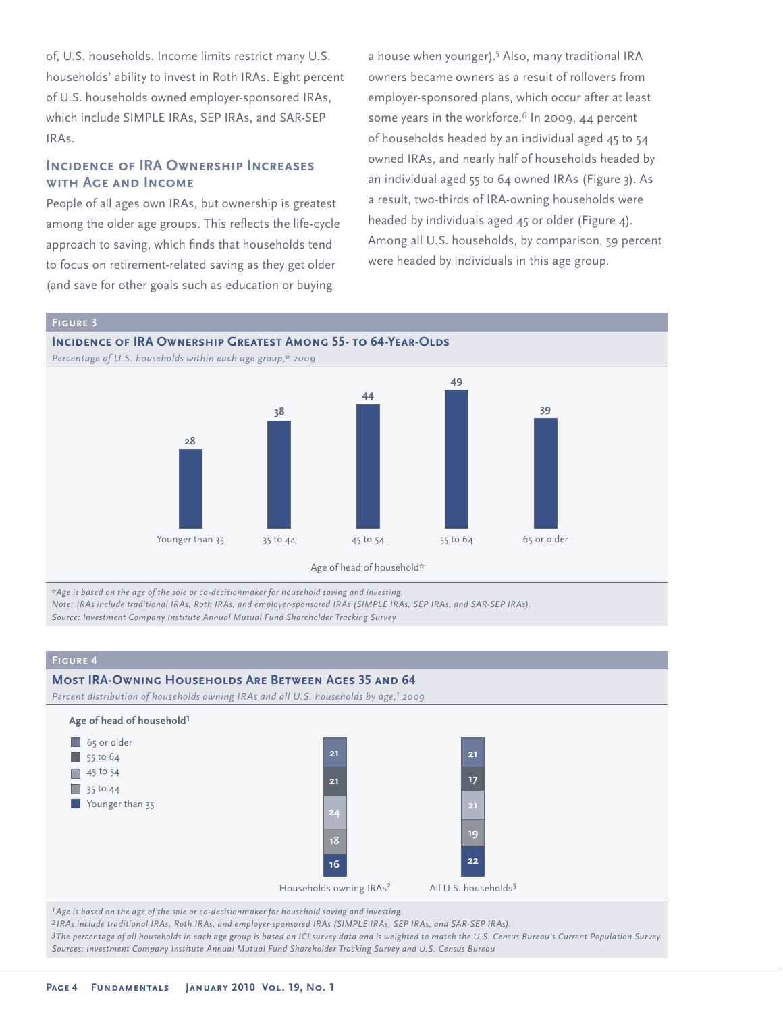of, U.S. households. Income limits restrict many U.S. households' ability to invest in Roth IRAs. Eight percent of U.S. households owned employer-sponsored IRAs, which include SIMPLE IRAs, SEP IRAs, and SAR-SEP IRAs.

# **Incidence of IRA Ownership Increases with Age and Income**

People of all ages own IRAs, but ownership is greatest among the older age groups. This reflects the life-cycle approach to saving, which finds that households tend to focus on retirement-related saving as they get older (and save for other goals such as education or buying

a house when younger).<sup>5</sup> Also, many traditional IRA owners became owners as a result of rollovers from employer-sponsored plans, which occur after at least some years in the workforce.<sup>6</sup> In 2009, 44 percent of households headed by an individual aged 45 to 54 owned IRAs, and nearly half of households headed by an individual aged 55 to 64 owned IRAs (Figure 3). As a result, two-thirds of IRA-owning households were headed by individuals aged 45 or older (Figure 4). Among all U.S. households, by comparison, 59 percent were headed by individuals in this age group.





*\*Age is based on the age of the sole or co-decisionmaker for household saving and investing. Note: IRAs include traditional IRAs, Roth IRAs, and employer-sponsored IRAs (SIMPLE IRAs, SEP IRAs, and SAR-SEP IRAs).*

*Source: Investment Company Institute Annual Mutual Fund Shareholder Tracking Survey*

### **Figure 4 Most IRA-Owning Households Are Between Ages 35 and 64** *Percent distribution of households owning IRAs and all U.S. households by age,1 2009* **Age of head of household1** Households owning IRAs<sup>2</sup> All U.S. households<sup>3</sup> 65 or older  $\overline{\phantom{1}}$  55 to 64  $\Box$  45 to 54  $\Box$  35 to 44 Younger than 35 **21 21 24 16 18 21 17 22 19** *1Age is based on the age of the sole or co-decisionmaker for household saving and investing.*

*2 IRAs include traditional IRAs, Roth IRAs, and employer-sponsored IRAs (SIMPLE IRAs, SEP IRAs, and SAR-SEP IRAs).*

*3The percentage of all households in each age group is based on ICI survey data and is weighted to match the U.S. Census Bureau's Current Population Survey. Sources: Investment Company Institute Annual Mutual Fund Shareholder Tracking Survey and U.S. Census Bureau*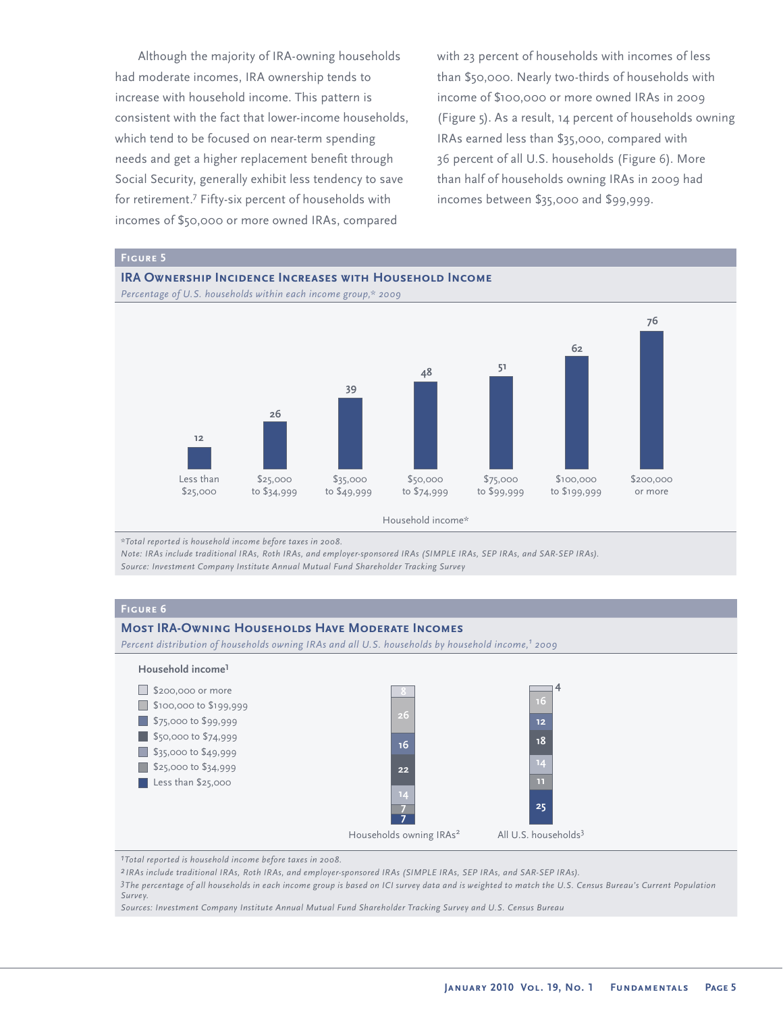Although the majority of IRA-owning households had moderate incomes, IRA ownership tends to increase with household income. This pattern is consistent with the fact that lower-income households, which tend to be focused on near-term spending needs and get a higher replacement benefit through Social Security, generally exhibit less tendency to save for retirement.<sup>7</sup> Fifty-six percent of households with incomes of \$50,000 or more owned IRAs, compared

with 23 percent of households with incomes of less than \$50,000. Nearly two-thirds of households with income of \$100,000 or more owned IRAs in 2009 (Figure 5). As a result, 14 percent of households owning IRAs earned less than \$35,000, compared with 36 percent of all U.S. households (Figure 6). More than half of households owning IRAs in 2009 had incomes between \$35,000 and \$99,999.







Household income\*

*\*Total reported is household income before taxes in 2008.*

*Note: IRAs include traditional IRAs, Roth IRAs, and employer-sponsored IRAs (SIMPLE IRAs, SEP IRAs, and SAR-SEP IRAs). Source: Investment Company Institute Annual Mutual Fund Shareholder Tracking Survey*

### **Figure 6**

### **Most IRA-Owning Households Have Moderate Incomes**

*Percent distribution of households owning IRAs and all U.S. households by household income,1 2009*



*1Total reported is household income before taxes in 2008.*

*2 IRAs include traditional IRAs, Roth IRAs, and employer-sponsored IRAs (SIMPLE IRAs, SEP IRAs, and SAR-SEP IRAs).*

*3The percentage of all households in each income group is based on ICI survey data and is weighted to match the U.S. Census Bureau's Current Population Survey.*

*Sources: Investment Company Institute Annual Mutual Fund Shareholder Tracking Survey and U.S. Census Bureau*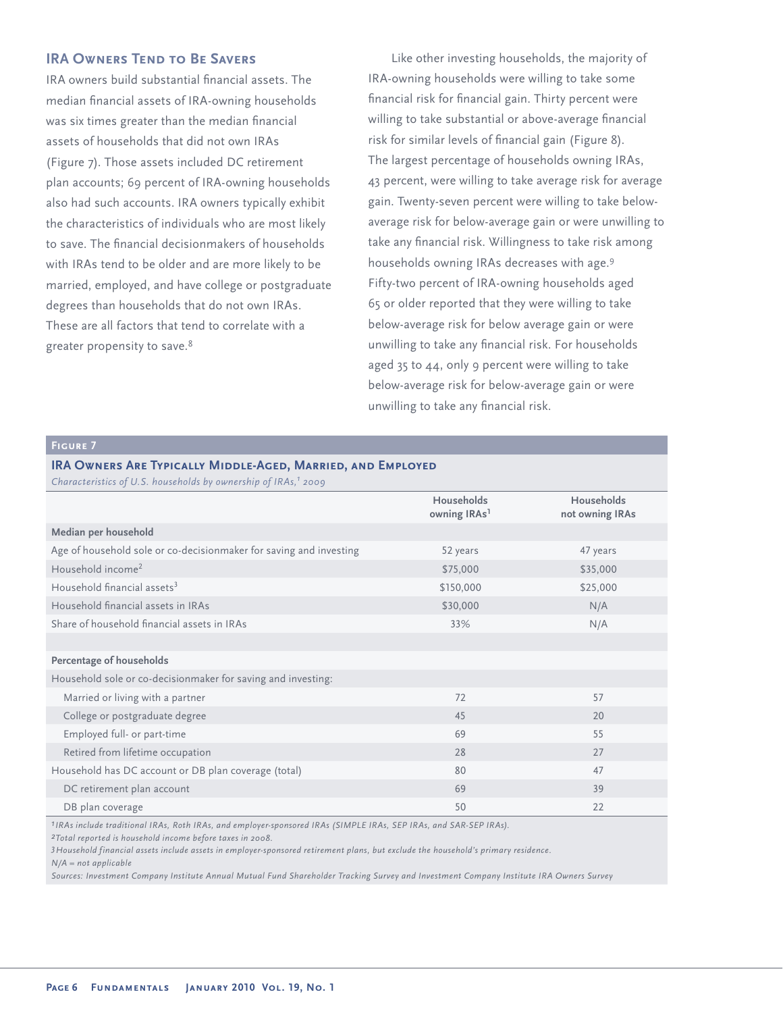# **IRA OWNERS TEND TO BE SAVERS**

IRA owners build substantial financial assets. The median financial assets of IRA-owning households was six times greater than the median financial assets of households that did not own IRAs (Figure 7). Those assets included DC retirement plan accounts; 69 percent of IRA-owning households also had such accounts. IRA owners typically exhibit the characteristics of individuals who are most likely to save. The financial decisionmakers of households with IRAs tend to be older and are more likely to be married, employed, and have college or postgraduate degrees than households that do not own IRAs. These are all factors that tend to correlate with a greater propensity to save.<sup>8</sup>

Like other investing households, the majority of IRA-owning households were willing to take some financial risk for financial gain. Thirty percent were willing to take substantial or above-average financial risk for similar levels of financial gain (Figure 8). The largest percentage of households owning IRAs, 43 percent, were willing to take average risk for average gain. Twenty-seven percent were willing to take belowaverage risk for below-average gain or were unwilling to take any financial risk. Willingness to take risk among households owning IRAs decreases with age.<sup>9</sup> Fifty-two percent of IRA-owning households aged 65 or older reported that they were willing to take below-average risk for below average gain or were unwilling to take any financial risk. For households aged 35 to 44, only 9 percent were willing to take below-average risk for below-average gain or were unwilling to take any financial risk.

# **Figure 7**

# **IRA Owners Are Typically Middle-Aged, Married, and Employed**

| Characteristics of U.S. households by ownership of IRAs, <sup>1</sup> 2009 |                                               |                                      |
|----------------------------------------------------------------------------|-----------------------------------------------|--------------------------------------|
|                                                                            | <b>Households</b><br>owning IRAs <sup>1</sup> | <b>Households</b><br>not owning IRAs |
| Median per household                                                       |                                               |                                      |
| Age of household sole or co-decisionmaker for saving and investing         | 52 years                                      | 47 years                             |
| Household income <sup>2</sup>                                              | \$75,000                                      | \$35,000                             |
| Household financial assets <sup>3</sup>                                    | \$150,000                                     | \$25,000                             |
| Household financial assets in IRAs                                         | \$30,000                                      | N/A                                  |
| Share of household financial assets in IRAs                                | 33%                                           | N/A                                  |
|                                                                            |                                               |                                      |
| Percentage of households                                                   |                                               |                                      |
| Household sole or co-decisionmaker for saving and investing:               |                                               |                                      |
| Married or living with a partner                                           | 72                                            | 57                                   |
| College or postgraduate degree                                             | 45                                            | 20                                   |
| Employed full- or part-time                                                | 69                                            | 55                                   |
| Retired from lifetime occupation                                           | 28                                            | 27                                   |
| Household has DC account or DB plan coverage (total)                       | 80                                            | 47                                   |
| DC retirement plan account                                                 | 69                                            | 39                                   |
| DB plan coverage                                                           | 50                                            | 22                                   |

*1IRAs include traditional IRAs, Roth IRAs, and employer-sponsored IRAs (SIMPLE IRAs, SEP IRAs, and SAR-SEP IRAs).*

*2Total reported is household income before taxes in 2008.*

*3Household financial assets include assets in employer-sponsored retirement plans, but exclude the household's primary residence.*

*N/A = not applicable* 

*Sources: Investment Company Institute Annual Mutual Fund Shareholder Tracking Survey and Investment Company Institute IRA Owners Survey*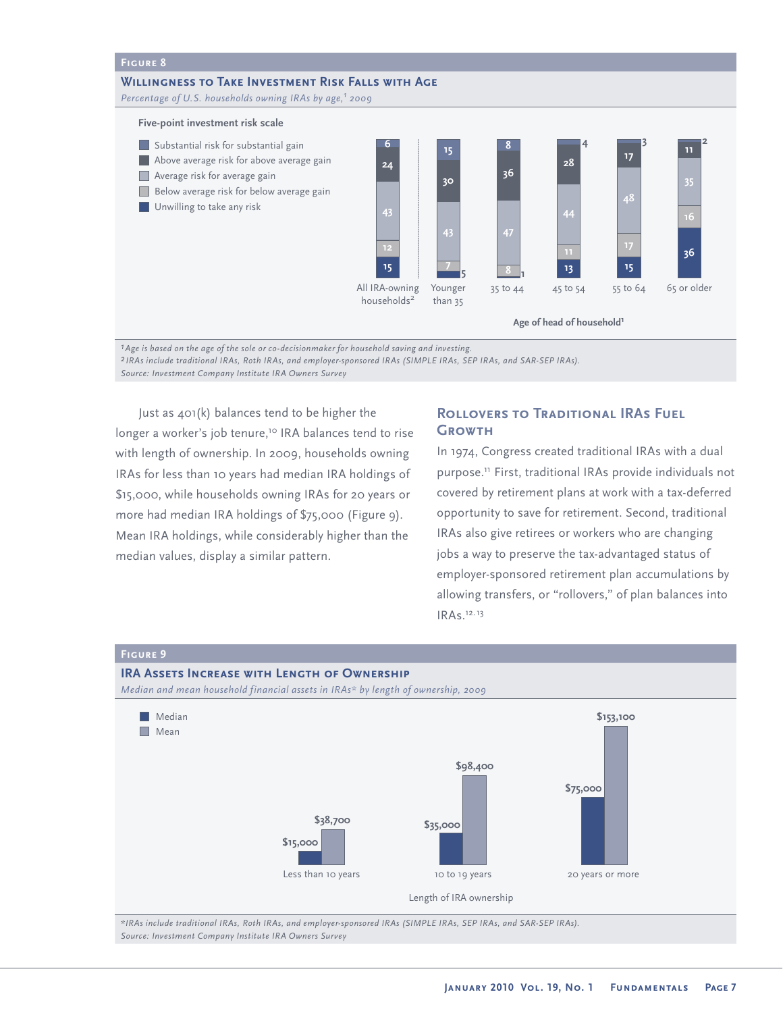### **Figure 8 Willingness to Take Investment Risk Falls with Age** Percentage of U.S. households owning IRAs by age,<sup>1</sup> 2009 **Five-point investment risk scale** Substantial risk for substantial gain Above average risk for above average gain **Average risk for average gain** Below average risk for below average gain **Unwilling to take any risk** Younger 35 to 44 45 to 54 55 to 64 65 or older than 35 All IRA-owning households<sup>2</sup> **6 24 43 15 12 15 30 43 5 7 8 36 47 1 8 4 28 44 13 3 17 48 15 17 <sup>2</sup> <sup>11</sup> 35 36 Age of head of household1**

*1Age is based on the age of the sole or co-decisionmaker for household saving and investing. 2 IRAs include traditional IRAs, Roth IRAs, and employer-sponsored IRAs (SIMPLE IRAs, SEP IRAs, and SAR-SEP IRAs). Source: Investment Company Institute IRA Owners Survey* 

Just as 401(k) balances tend to be higher the longer a worker's job tenure,<sup>10</sup> IRA balances tend to rise with length of ownership. In 2009, households owning IRAs for less than 10 years had median IRA holdings of \$15,000, while households owning IRAs for 20 years or more had median IRA holdings of \$75,000 (Figure 9). Mean IRA holdings, while considerably higher than the median values, display a similar pattern.

# **Rollovers to Traditional IRAs Fuel Growth**

In 1974, Congress created traditional IRAs with a dual purpose.<sup>11</sup> First, traditional IRAs provide individuals not covered by retirement plans at work with a tax-deferred opportunity to save for retirement. Second, traditional IRAs also give retirees or workers who are changing jobs a way to preserve the tax-advantaged status of employer-sponsored retirement plan accumulations by allowing transfers, or "rollovers," of plan balances into IRAs.<sup>12</sup>, <sup>13</sup>



*Source: Investment Company Institute IRA Owners Survey*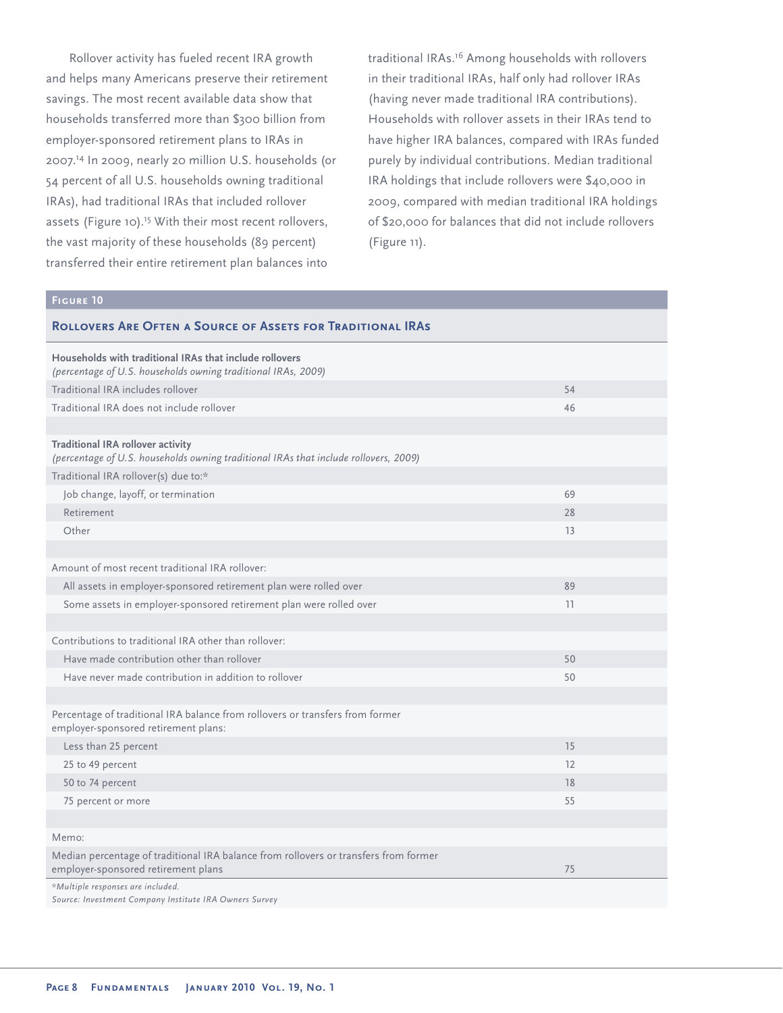Rollover activity has fueled recent IRA growth and helps many Americans preserve their retirement savings. The most recent available data show that households transferred more than \$300 billion from employer-sponsored retirement plans to IRAs in 2007.<sup>14</sup> In 2009, nearly 20 million U.S. households (or 54 percent of all U.S. households owning traditional IRAs), had traditional IRAs that included rollover assets (Figure 10).<sup>15</sup> With their most recent rollovers, the vast majority of these households (89 percent) transferred their entire retirement plan balances into

traditional IRAs.<sup>16</sup> Among households with rollovers in their traditional IRAs, half only had rollover IRAs (having never made traditional IRA contributions). Households with rollover assets in their IRAs tend to have higher IRA balances, compared with IRAs funded purely by individual contributions. Median traditional IRA holdings that include rollovers were \$40,000 in 2009, compared with median traditional IRA holdings of \$20,000 for balances that did not include rollovers (Figure 11).

### **Figure 10**

| <b>ROLLOVERS ARE OFTEN A SOURCE OF ASSETS FOR TRADITIONAL IRAS</b>                                                               |    |
|----------------------------------------------------------------------------------------------------------------------------------|----|
| Households with traditional IRAs that include rollovers<br>(percentage of U.S. households owning traditional IRAs, 2009)         |    |
| Traditional IRA includes rollover                                                                                                | 54 |
| Traditional IRA does not include rollover                                                                                        | 46 |
|                                                                                                                                  |    |
| <b>Traditional IRA rollover activity</b><br>(percentage of U.S. households owning traditional IRAs that include rollovers, 2009) |    |
| Traditional IRA rollover(s) due to:*                                                                                             |    |
| Job change, layoff, or termination                                                                                               | 69 |
| Retirement                                                                                                                       | 28 |
| Other                                                                                                                            | 13 |
|                                                                                                                                  |    |
| Amount of most recent traditional IRA rollover:                                                                                  |    |
| All assets in employer-sponsored retirement plan were rolled over                                                                | 89 |
| Some assets in employer-sponsored retirement plan were rolled over                                                               | 11 |
|                                                                                                                                  |    |
| Contributions to traditional IRA other than rollover:                                                                            |    |
| Have made contribution other than rollover                                                                                       | 50 |
| Have never made contribution in addition to rollover                                                                             | 50 |
|                                                                                                                                  |    |
| Percentage of traditional IRA balance from rollovers or transfers from former<br>employer-sponsored retirement plans:            |    |
| Less than 25 percent                                                                                                             | 15 |
| 25 to 49 percent                                                                                                                 | 12 |
| 50 to 74 percent                                                                                                                 | 18 |
| 75 percent or more                                                                                                               | 55 |
|                                                                                                                                  |    |
| Memo:                                                                                                                            |    |
| Median percentage of traditional IRA balance from rollovers or transfers from former<br>employer-sponsored retirement plans      | 75 |
| *Multiple responses are included.<br>Source: Investment Company Institute IRA Owners Survey                                      |    |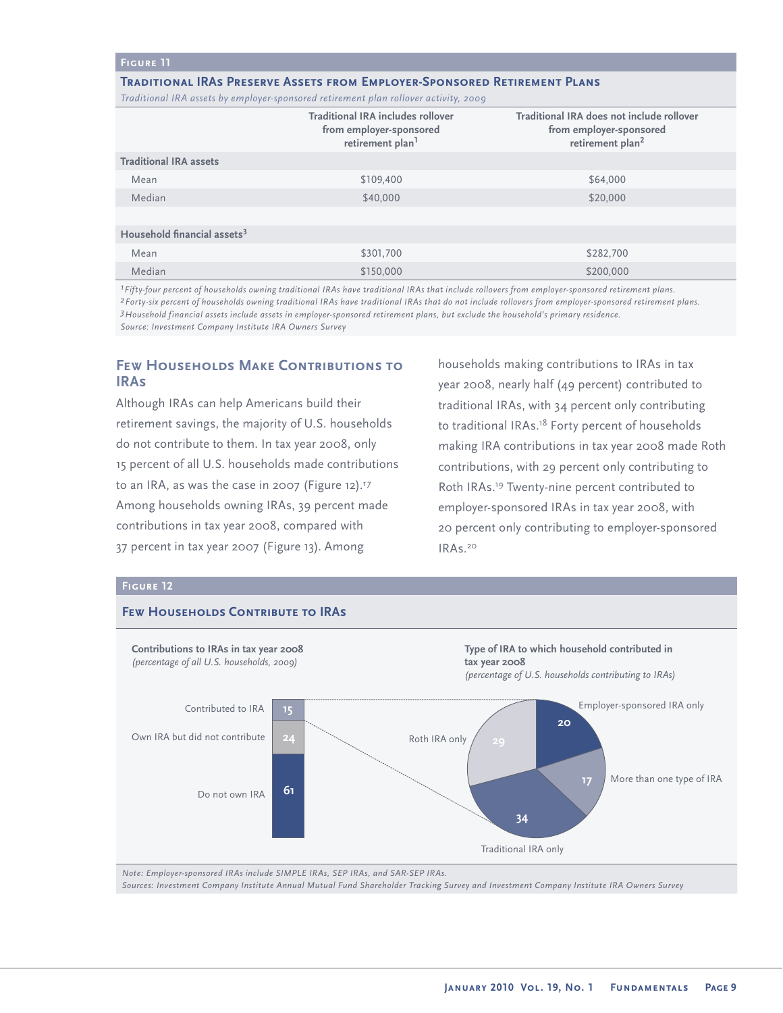### **Figure 11**

### **Traditional IRAs Preserve Assets from Employer-Sponsored Retirement Plans**

*Traditional IRA assets by employer-sponsored retirement plan rollover activity, 2009*

|                                         | <b>Traditional IRA includes rollover</b><br>from employer-sponsored<br>retirement plan <sup>1</sup> | Traditional IRA does not include rollover<br>from employer-sponsored<br>retirement plan <sup>2</sup> |
|-----------------------------------------|-----------------------------------------------------------------------------------------------------|------------------------------------------------------------------------------------------------------|
| <b>Traditional IRA assets</b>           |                                                                                                     |                                                                                                      |
| Mean                                    | \$109,400                                                                                           | \$64,000                                                                                             |
| Median                                  | \$40,000                                                                                            | \$20,000                                                                                             |
|                                         |                                                                                                     |                                                                                                      |
| Household financial assets <sup>3</sup> |                                                                                                     |                                                                                                      |
| Mean                                    | \$301,700                                                                                           | \$282.700                                                                                            |
| Median                                  | \$150,000                                                                                           | \$200,000                                                                                            |
|                                         |                                                                                                     |                                                                                                      |

*1Fifty-four percent of households owning traditional IRAs have traditional IRAs that include rollovers from employer-sponsored retirement plans. 2Forty-six percent of households owning traditional IRAs have traditional IRAs that do not include rollovers from employer-sponsored retirement plans. 3Household financial assets include assets in employer-sponsored retirement plans, but exclude the household's primary residence. Source: Investment Company Institute IRA Owners Survey* 

# **Few Households Make Contributions to IRAs**

Although IRAs can help Americans build their retirement savings, the majority of U.S. households do not contribute to them. In tax year 2008, only 15 percent of all U.S. households made contributions to an IRA, as was the case in 2007 (Figure 12).*17* Among households owning IRAs, 39 percent made contributions in tax year 2008, compared with 37 percent in tax year 2007 (Figure 13). Among

households making contributions to IRAs in tax year 2008, nearly half (49 percent) contributed to traditional IRAs, with 34 percent only contributing to traditional IRAs.<sup>18</sup> Forty percent of households making IRA contributions in tax year 2008 made Roth contributions, with 29 percent only contributing to Roth IRAs.19 Twenty-nine percent contributed to employer-sponsored IRAs in tax year 2008, with 20 percent only contributing to employer-sponsored IRAs.<sup>20</sup>

### **Figure 12**



*Note: Employer-sponsored IRAs include SIMPLE IRAs, SEP IRAs, and SAR-SEP IRAs. Sources: Investment Company Institute Annual Mutual Fund Shareholder Tracking Survey and Investment Company Institute IRA Owners Survey*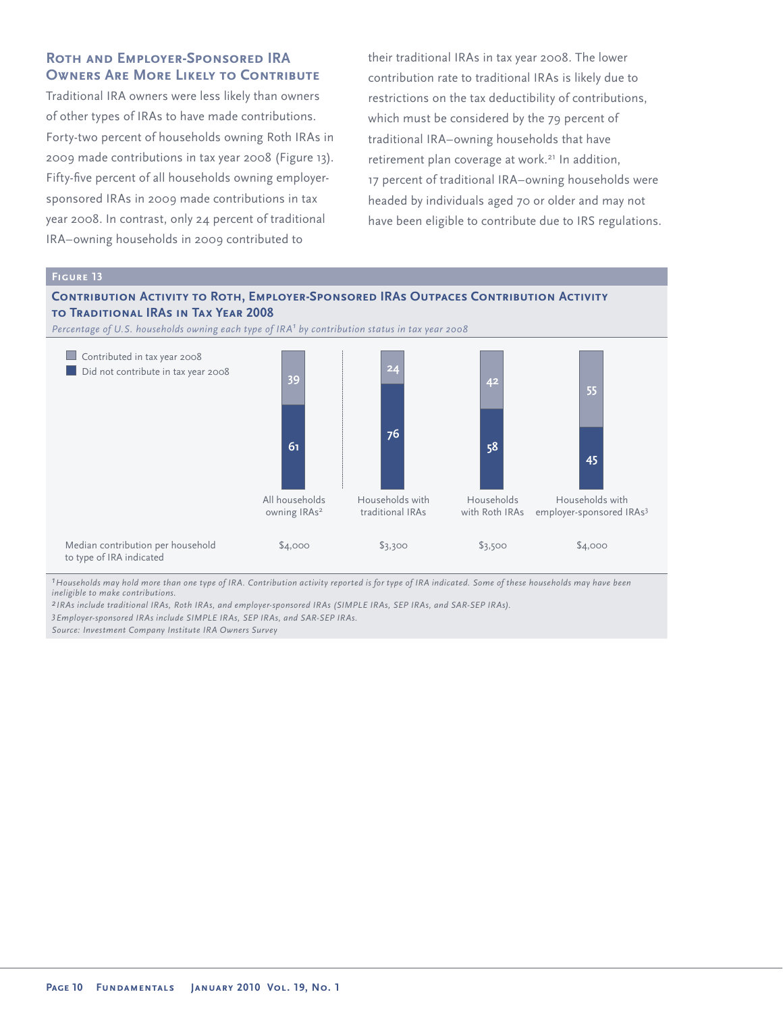# **Roth and Employer-Sponsored IRA OWNERS ARE MORE LIKELY TO CONTRIBUTE**

Traditional IRA owners were less likely than owners of other types of IRAs to have made contributions. Forty-two percent of households owning Roth IRAs in 2009 made contributions in tax year 2008 (Figure 13). Fifty-five percent of all households owning employersponsored IRAs in 2009 made contributions in tax year 2008. In contrast, only 24 percent of traditional IRA–owning households in 2009 contributed to

**Figure 13**

their traditional IRAs in tax year 2008. The lower contribution rate to traditional IRAs is likely due to restrictions on the tax deductibility of contributions, which must be considered by the 79 percent of traditional IRA–owning households that have retirement plan coverage at work.<sup>21</sup> In addition, 17 percent of traditional IRA–owning households were headed by individuals aged 70 or older and may not have been eligible to contribute due to IRS regulations.

### **Contribution Activity to Roth, Employer-Sponsored IRAs Outpaces Contribution Activity to Traditional IRAs in Tax Year 2008** *Percentage of U.S. households owning each type of IRA<sup>1</sup> by contribution status in tax year 2008* Median contribution per household **Contributed in tax year 2008** Did not contribute in tax year 2008 Households with employer-sponsored IRAs3 \$4,000 Households with Roth IRAs \$3,500 Households with traditional IRAs \$3,300 All households owning IRAs<sup>2</sup> \$4,000 **39 61 24 76 42 58 55 45**

*<sup>1</sup>Households may hold more than one type of IRA. Contribution activity reported is for type of IRA indicated. Some of these households may have been ineligible to make contributions.*

*2 IRAs include traditional IRAs, Roth IRAs, and employer-sponsored IRAs (SIMPLE IRAs, SEP IRAs, and SAR-SEP IRAs).*

*3Employer-sponsored IRAs include SIMPLE IRAs, SEP IRAs, and SAR-SEP IRAs.*

*Source: Investment Company Institute IRA Owners Survey*

to type of IRA indicated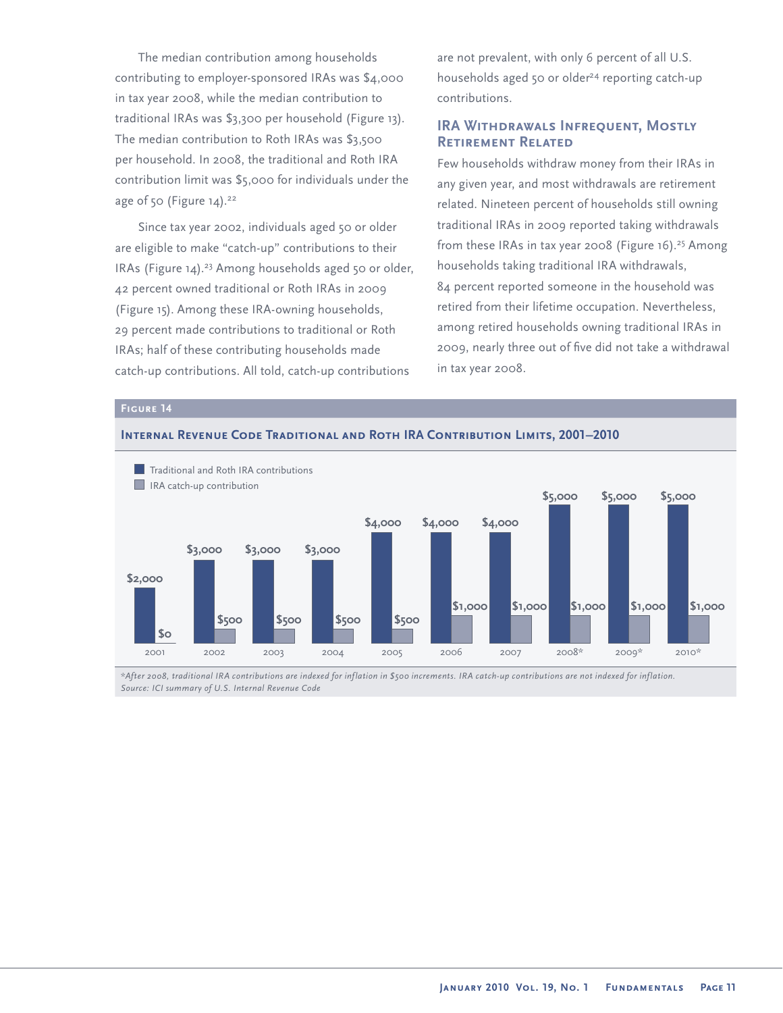The median contribution among households contributing to employer-sponsored IRAs was \$4,000 in tax year 2008, while the median contribution to traditional IRAs was \$3,300 per household (Figure 13). The median contribution to Roth IRAs was \$3,500 per household. In 2008, the traditional and Roth IRA contribution limit was \$5,000 for individuals under the age of  $50$  (Figure 14).<sup>22</sup>

Since tax year 2002, individuals aged 50 or older are eligible to make "catch-up" contributions to their IRAs (Figure 14).<sup>23</sup> Among households aged 50 or older, 42 percent owned traditional or Roth IRAs in 2009 (Figure 15). Among these IRA-owning households, 29 percent made contributions to traditional or Roth IRAs; half of these contributing households made catch-up contributions. All told, catch-up contributions

are not prevalent, with only 6 percent of all U.S. households aged 50 or older<sup>24</sup> reporting catch-up contributions.

# **IRA Withdrawals Infrequent, Mostly Retirement Related**

Few households withdraw money from their IRAs in any given year, and most withdrawals are retirement related. Nineteen percent of households still owning traditional IRAs in 2009 reported taking withdrawals from these IRAs in tax year 2008 (Figure 16).<sup>25</sup> Among households taking traditional IRA withdrawals, 84 percent reported someone in the household was retired from their lifetime occupation. Nevertheless, among retired households owning traditional IRAs in 2009, nearly three out of five did not take a withdrawal in tax year 2008.



### **Internal Revenue Code Traditional and Roth IRA Contribution Limits, 2001–2010**

*\*After 2008, traditional IRA contributions are indexed for inflation in \$500 increments. IRA catch-up contributions are not indexed for inflation. Source: ICI summary of U.S. Internal Revenue Code*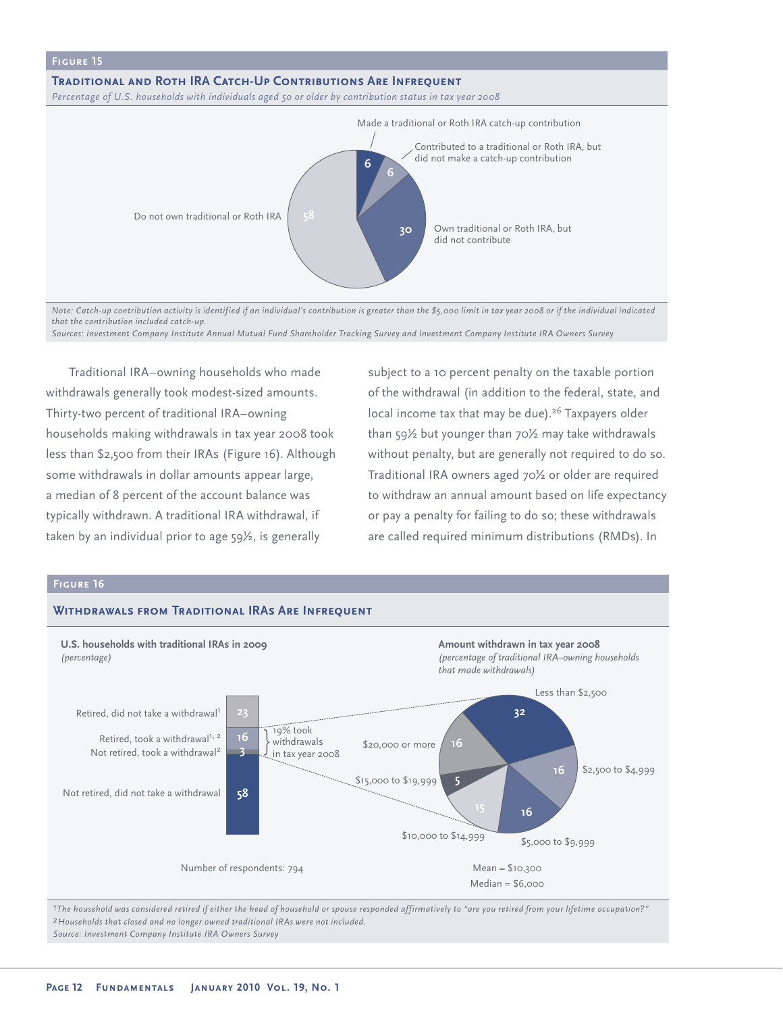

*Note: Catch-up contribution activity is identified if an individual's contribution is greater than the \$5,000 limit in tax year 2008 or if the individual indicated that the contribution included catch-up.*

*Sources: Investment Company Institute Annual Mutual Fund Shareholder Tracking Survey and Investment Company Institute IRA Owners Survey*

Traditional IRA–owning households who made withdrawals generally took modest-sized amounts. Thirty-two percent of traditional IRA–owning households making withdrawals in tax year 2008 took less than \$2,500 from their IRAs (Figure 16). Although some withdrawals in dollar amounts appear large, a median of 8 percent of the account balance was typically withdrawn. A traditional IRA withdrawal, if taken by an individual prior to age 59½, is generally

subject to a 10 percent penalty on the taxable portion of the withdrawal (in addition to the federal, state, and local income tax that may be due).<sup>26</sup> Taxpayers older than 59½ but younger than 70½ may take withdrawals without penalty, but are generally not required to do so. Traditional IRA owners aged 70½ or older are required to withdraw an annual amount based on life expectancy or pay a penalty for failing to do so; these withdrawals are called required minimum distributions (RMDs). In

### **Figure 16 Withdrawals from Traditional IRAs Are Infrequent** Retired, did not take a withdrawal<sup>1</sup> \$2,500 to \$4,999 \$20,000 or more **U.S. households with traditional IRAs in 2009** *(percentage)* **Amount withdrawn in tax year 2008** *(percentage of traditional IRA–owning households that made withdrawals)* **5 16** Not retired, did not take a withdrawal **32 16 16** Less than \$2,500 \$10,000 to \$14,999  $\frac{1}{100}$  \$5,000 to \$9,999 Mean = \$10,300  $Median = $6,000$ Number of respondents: 794 **3 58** Retired, took a withdrawal<sup>1, 2</sup> Not retired, took a withdrawal2 \$15,000 to \$19,999 19% took withdrawals in tax year 2008

*1The household was considered retired if either the head of household or spouse responded affirmatively to "are you retired from your lifetime occupation?" 2Households that closed and no longer owned traditional IRAs were not included. Source: Investment Company Institute IRA Owners Survey*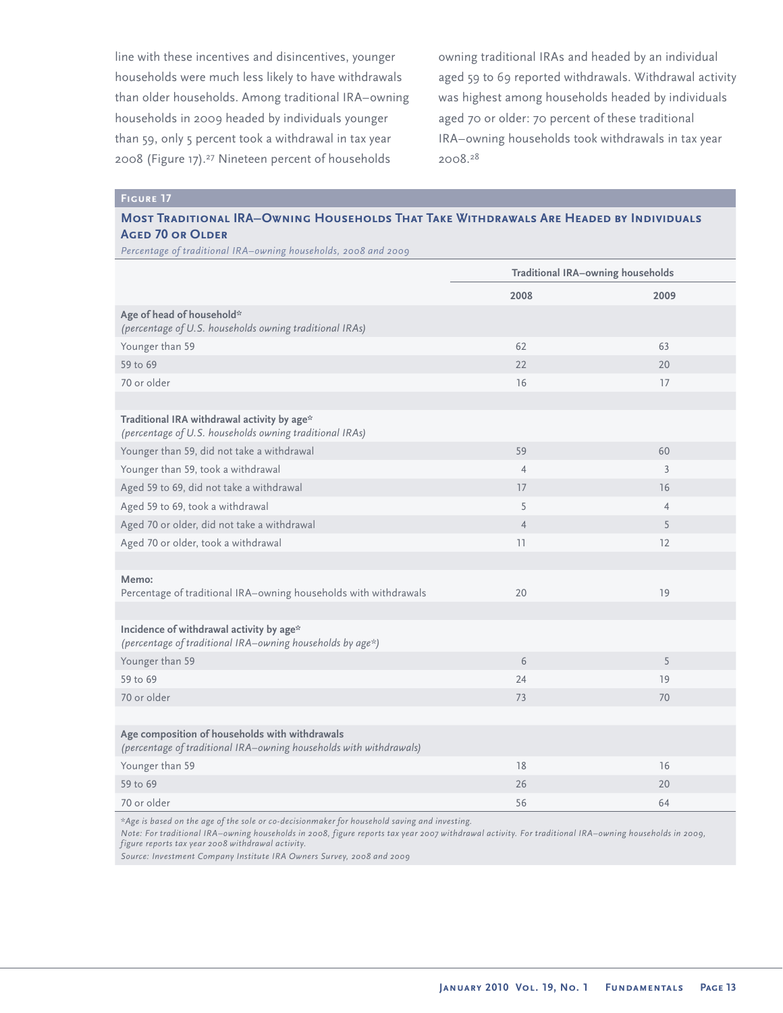line with these incentives and disincentives, younger households were much less likely to have withdrawals than older households. Among traditional IRA–owning households in 2009 headed by individuals younger than 59, only 5 percent took a withdrawal in tax year 2008 (Figure 17).<sup>27</sup> Nineteen percent of households

owning traditional IRAs and headed by an individual aged 59 to 69 reported withdrawals. Withdrawal activity was highest among households headed by individuals aged 70 or older: 70 percent of these traditional IRA–owning households took withdrawals in tax year 2008.<sup>28</sup>

### **Figure 17**

# **Most Traditional IRA–Owning Households That Take Withdrawals Are Headed by Individuals AGED 70 OR OLDER**

*Percentage of traditional IRA–owning households, 2008 and 2009*

|                                                                                                                      | <b>Traditional IRA-owning households</b> |                |
|----------------------------------------------------------------------------------------------------------------------|------------------------------------------|----------------|
|                                                                                                                      | 2008                                     | 2009           |
| Age of head of household*<br>(percentage of U.S. households owning traditional IRAs)                                 |                                          |                |
| Younger than 59                                                                                                      | 62                                       | 63             |
| 59 to 69                                                                                                             | 22                                       | 20             |
| 70 or older                                                                                                          | 16                                       | 17             |
|                                                                                                                      |                                          |                |
| Traditional IRA withdrawal activity by age*<br>(percentage of U.S. households owning traditional IRAs)               |                                          |                |
| Younger than 59, did not take a withdrawal                                                                           | 59                                       | 60             |
| Younger than 59, took a withdrawal                                                                                   | $\overline{4}$                           | 3              |
| Aged 59 to 69, did not take a withdrawal                                                                             | 17                                       | 16             |
| Aged 59 to 69, took a withdrawal                                                                                     | 5                                        | $\overline{4}$ |
| Aged 70 or older, did not take a withdrawal                                                                          | $\overline{4}$                           | 5              |
| Aged 70 or older, took a withdrawal                                                                                  | 11                                       | 12             |
|                                                                                                                      |                                          |                |
| Memo:<br>Percentage of traditional IRA-owning households with withdrawals                                            | 20                                       | 19             |
|                                                                                                                      |                                          |                |
| Incidence of withdrawal activity by age*<br>(percentage of traditional IRA-owning households by age*)                |                                          |                |
| Younger than 59                                                                                                      | 6                                        | 5              |
| 59 to 69                                                                                                             | 24                                       | 19             |
| 70 or older                                                                                                          | 73                                       | 70             |
|                                                                                                                      |                                          |                |
| Age composition of households with withdrawals<br>(percentage of traditional IRA-owning households with withdrawals) |                                          |                |
| Younger than 59                                                                                                      | 18                                       | 16             |
| 59 to 69                                                                                                             | 26                                       | 20             |
| 70 or older                                                                                                          | 56                                       | 64             |

*\*Age is based on the age of the sole or co-decisionmaker for household saving and investing.*

*Note: For traditional IRA–owning households in 2008, figure reports tax year 2007 withdrawal activity. For traditional IRA–owning households in 2009, figure reports tax year 2008 withdrawal activity.*

*Source: Investment Company Institute IRA Owners Survey, 2008 and 2009*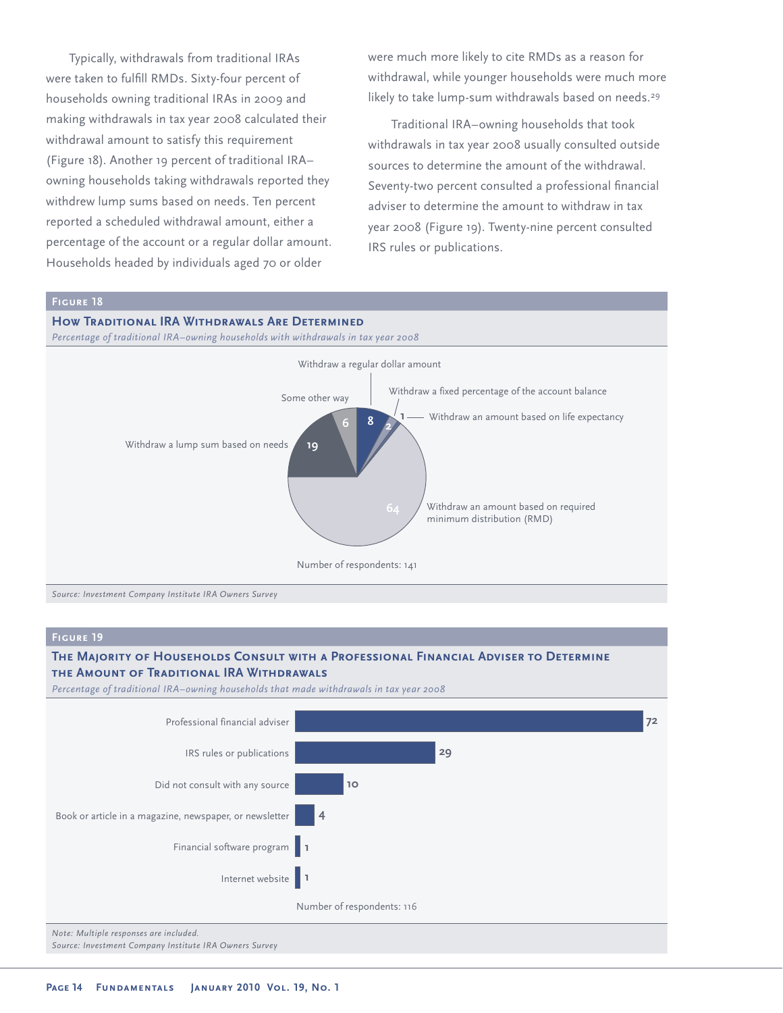Typically, withdrawals from traditional IRAs were taken to fulfill RMDs. Sixty-four percent of households owning traditional IRAs in 2009 and making withdrawals in tax year 2008 calculated their withdrawal amount to satisfy this requirement (Figure 18). Another 19 percent of traditional IRA– owning households taking withdrawals reported they withdrew lump sums based on needs. Ten percent reported a scheduled withdrawal amount, either a percentage of the account or a regular dollar amount. Households headed by individuals aged 70 or older

were much more likely to cite RMDs as a reason for withdrawal, while younger households were much more likely to take lump-sum withdrawals based on needs.<sup>29</sup>

Traditional IRA–owning households that took withdrawals in tax year 2008 usually consulted outside sources to determine the amount of the withdrawal. Seventy-two percent consulted a professional financial adviser to determine the amount to withdraw in tax year 2008 (Figure 19). Twenty-nine percent consulted IRS rules or publications.

# **How Traditional IRA Withdrawals Are Determined** *Percentage of traditional IRA–owning households with withdrawals in tax year 2008* Withdraw a lump sum based on needs **<sup>8</sup> <sup>1</sup> 6** Some other way Withdraw a fixed percentage of the account balance Withdraw an amount based on required minimum distribution (RMD) **19** Withdraw a regular dollar amount **2** Withdraw an amount based on life expectancy Number of respondents: 141 *Source: Investment Company Institute IRA Owners Survey*

### **Figure 19**

# **The Majority of Households Consult with a Professional Financial Adviser to Determine the Amount of Traditional IRA Withdrawals**

*Percentage of traditional IRA–owning households that made withdrawals in tax year 2008*

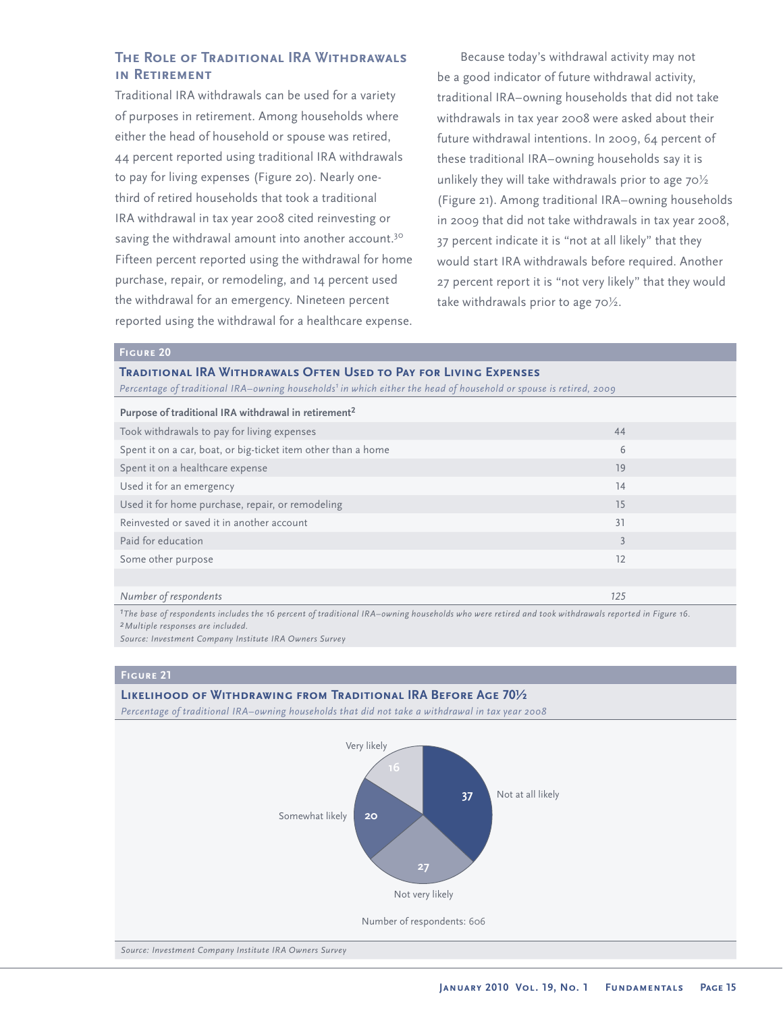# **The Role of Traditional IRA Withdrawals in Retirement**

Traditional IRA withdrawals can be used for a variety of purposes in retirement. Among households where either the head of household or spouse was retired, 44 percent reported using traditional IRA withdrawals to pay for living expenses (Figure 20). Nearly onethird of retired households that took a traditional IRA withdrawal in tax year 2008 cited reinvesting or saving the withdrawal amount into another account.<sup>30</sup> Fifteen percent reported using the withdrawal for home purchase, repair, or remodeling, and 14 percent used the withdrawal for an emergency. Nineteen percent reported using the withdrawal for a healthcare expense.

Because today's withdrawal activity may not be a good indicator of future withdrawal activity, traditional IRA–owning households that did not take withdrawals in tax year 2008 were asked about their future withdrawal intentions. In 2009, 64 percent of these traditional IRA–owning households say it is unlikely they will take withdrawals prior to age 70½ (Figure 21). Among traditional IRA–owning households in 2009 that did not take withdrawals in tax year 2008, 37 percent indicate it is "not at all likely" that they would start IRA withdrawals before required. Another 27 percent report it is "not very likely" that they would take withdrawals prior to age 70½.

### **Figure 20**

### **Traditional IRA Withdrawals Often Used to Pay for Living Expenses**

*Percentage of traditional IRA–owning households1 in which either the head of household or spouse is retired, 2009*

| Purpose of traditional IRA withdrawal in retirement <sup>2</sup> |     |  |
|------------------------------------------------------------------|-----|--|
| Took withdrawals to pay for living expenses                      | 44  |  |
| Spent it on a car, boat, or big-ticket item other than a home    | 6   |  |
| Spent it on a healthcare expense                                 | 19  |  |
| Used it for an emergency                                         | 14  |  |
| Used it for home purchase, repair, or remodeling                 | 15  |  |
| Reinvested or saved it in another account                        | 31  |  |
| Paid for education                                               | 3   |  |
| Some other purpose                                               | 12  |  |
|                                                                  |     |  |
| Number of respondents                                            | 125 |  |

*1The base of respondents includes the 16 percent of traditional IRA–owning households who were retired and took withdrawals reported in Figure 16. 2Multiple responses are included.*

*Source: Investment Company Institute IRA Owners Survey* 

# **Figure 21**

### **Likelihood of Withdrawing from Traditional IRA Before Age 70½**

*Percentage of traditional IRA–owning households that did not take a withdrawal in tax year 2008*

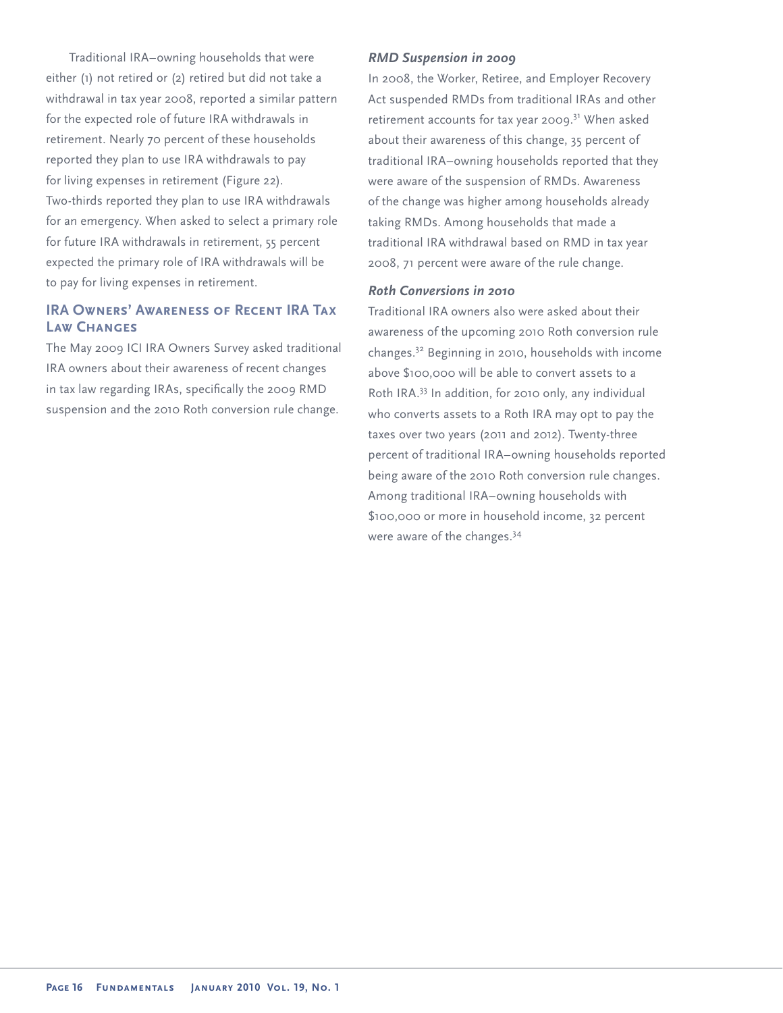Traditional IRA–owning households that were either (1) not retired or (2) retired but did not take a withdrawal in tax year 2008, reported a similar pattern for the expected role of future IRA withdrawals in retirement. Nearly 70 percent of these households reported they plan to use IRA withdrawals to pay for living expenses in retirement (Figure 22). Two-thirds reported they plan to use IRA withdrawals for an emergency. When asked to select a primary role for future IRA withdrawals in retirement, 55 percent expected the primary role of IRA withdrawals will be to pay for living expenses in retirement.

# **IRA Owners' Awareness of Recent IRA Tax Law Changes**

The May 2009 ICI IRA Owners Survey asked traditional IRA owners about their awareness of recent changes in tax law regarding IRAs, specifically the 2009 RMD suspension and the 2010 Roth conversion rule change.

# *RMD Suspension in 2009*

In 2008, the Worker, Retiree, and Employer Recovery Act suspended RMDs from traditional IRAs and other retirement accounts for tax year 2009.<sup>31</sup> When asked about their awareness of this change, 35 percent of traditional IRA–owning households reported that they were aware of the suspension of RMDs. Awareness of the change was higher among households already taking RMDs. Among households that made a traditional IRA withdrawal based on RMD in tax year 2008, 71 percent were aware of the rule change.

# *Roth Conversions in 2010*

Traditional IRA owners also were asked about their awareness of the upcoming 2010 Roth conversion rule changes.32 Beginning in 2010, households with income above \$100,000 will be able to convert assets to a Roth IRA.<sup>33</sup> In addition, for 2010 only, any individual who converts assets to a Roth IRA may opt to pay the taxes over two years (2011 and 2012). Twenty-three percent of traditional IRA–owning households reported being aware of the 2010 Roth conversion rule changes. Among traditional IRA–owning households with \$100,000 or more in household income, 32 percent were aware of the changes.<sup>34</sup>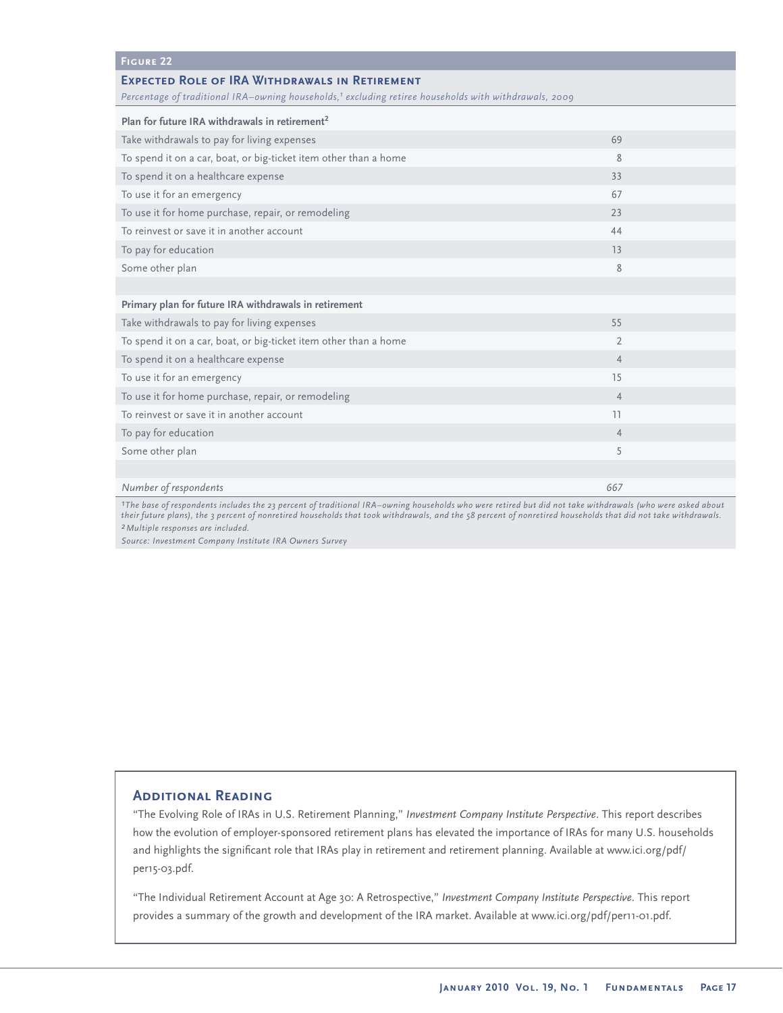| <b>FIGURE 22</b>                                                                                                                                                           |                |  |  |
|----------------------------------------------------------------------------------------------------------------------------------------------------------------------------|----------------|--|--|
| <b>EXPECTED ROLE OF IRA WITHDRAWALS IN RETIREMENT</b><br>Percentage of traditional IRA-owning households, <sup>1</sup> excluding retiree households with withdrawals, 2009 |                |  |  |
| Plan for future IRA withdrawals in retirement <sup>2</sup>                                                                                                                 |                |  |  |
| Take withdrawals to pay for living expenses                                                                                                                                | 69             |  |  |
| To spend it on a car, boat, or big-ticket item other than a home                                                                                                           | 8              |  |  |
| To spend it on a healthcare expense                                                                                                                                        | 33             |  |  |
| To use it for an emergency                                                                                                                                                 | 67             |  |  |
| To use it for home purchase, repair, or remodeling                                                                                                                         | 23             |  |  |
| To reinvest or save it in another account                                                                                                                                  | 44             |  |  |
| To pay for education                                                                                                                                                       | 13             |  |  |
| Some other plan                                                                                                                                                            | 8              |  |  |
|                                                                                                                                                                            |                |  |  |
| Primary plan for future IRA withdrawals in retirement                                                                                                                      |                |  |  |
| Take withdrawals to pay for living expenses                                                                                                                                | 55             |  |  |
| To spend it on a car, boat, or big-ticket item other than a home                                                                                                           | $\overline{2}$ |  |  |
| To spend it on a healthcare expense                                                                                                                                        | $\overline{4}$ |  |  |
| To use it for an emergency                                                                                                                                                 | 15             |  |  |
| To use it for home purchase, repair, or remodeling                                                                                                                         | $\overline{4}$ |  |  |
| To reinvest or save it in another account                                                                                                                                  | 11             |  |  |
| To pay for education                                                                                                                                                       | $\overline{4}$ |  |  |
| Some other plan                                                                                                                                                            | 5              |  |  |
|                                                                                                                                                                            |                |  |  |
| Number of respondents                                                                                                                                                      | 667            |  |  |

*1The base of respondents includes the 23 percent of traditional IRA–owning households who were retired but did not take withdrawals (who were asked about their future plans), the 3 percent of nonretired households that took withdrawals, and the 58 percent of nonretired households that did not take withdrawals. 2Multiple responses are included.*

*Source: Investment Company Institute IRA Owners Survey* 

# **Additional Reading**

"The Evolving Role of IRAs in U.S. Retirement Planning," *Investment Company Institute Perspective*. This report describes how the evolution of employer-sponsored retirement plans has elevated the importance of IRAs for many U.S. households and highlights the significant role that IRAs play in retirement and retirement planning. Available at www.ici.org/pdf/ per15-03.pdf.

"The Individual Retirement Account at Age 30: A Retrospective," *Investment Company Institute Perspective*. This report provides a summary of the growth and development of the IRA market. Available at www.ici.org/pdf/per11-01.pdf.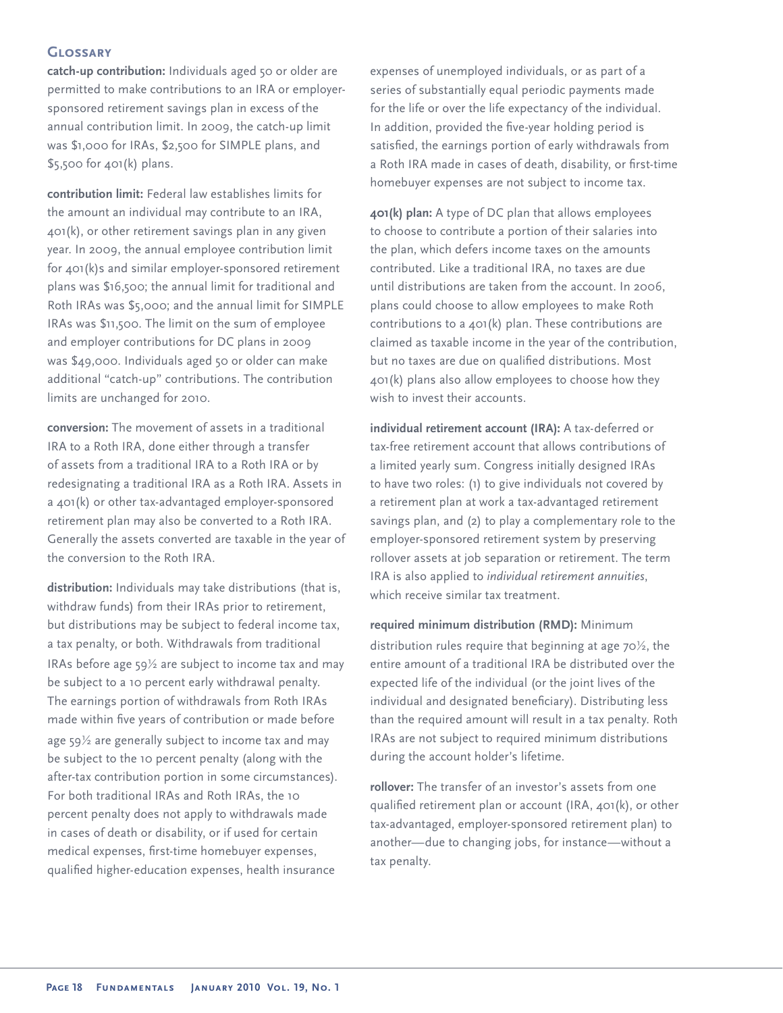# **Glossary**

**catch-up contribution:** Individuals aged 50 or older are permitted to make contributions to an IRA or employersponsored retirement savings plan in excess of the annual contribution limit. In 2009, the catch-up limit was \$1,000 for IRAs, \$2,500 for SIMPLE plans, and \$5,500 for 401(k) plans.

**contribution limit:** Federal law establishes limits for the amount an individual may contribute to an IRA, 401(k), or other retirement savings plan in any given year. In 2009, the annual employee contribution limit for 401(k)s and similar employer-sponsored retirement plans was \$16,500; the annual limit for traditional and Roth IRAs was \$5,000; and the annual limit for SIMPLE IRAs was \$11,500. The limit on the sum of employee and employer contributions for DC plans in 2009 was \$49,000. Individuals aged 50 or older can make additional "catch-up" contributions. The contribution limits are unchanged for 2010.

**conversion:** The movement of assets in a traditional IRA to a Roth IRA, done either through a transfer of assets from a traditional IRA to a Roth IRA or by redesignating a traditional IRA as a Roth IRA. Assets in a 401(k) or other tax-advantaged employer-sponsored retirement plan may also be converted to a Roth IRA. Generally the assets converted are taxable in the year of the conversion to the Roth IRA.

**distribution:** Individuals may take distributions (that is, withdraw funds) from their IRAs prior to retirement, but distributions may be subject to federal income tax, a tax penalty, or both. Withdrawals from traditional IRAs before age  $59\frac{1}{2}$  are subject to income tax and may be subject to a 10 percent early withdrawal penalty. The earnings portion of withdrawals from Roth IRAs made within five years of contribution or made before age 59½ are generally subject to income tax and may be subject to the 10 percent penalty (along with the after-tax contribution portion in some circumstances). For both traditional IRAs and Roth IRAs, the 10 percent penalty does not apply to withdrawals made in cases of death or disability, or if used for certain medical expenses, first-time homebuyer expenses, qualified higher-education expenses, health insurance

expenses of unemployed individuals, or as part of a series of substantially equal periodic payments made for the life or over the life expectancy of the individual. In addition, provided the five-year holding period is satisfied, the earnings portion of early withdrawals from a Roth IRA made in cases of death, disability, or first-time homebuyer expenses are not subject to income tax.

**401(k) plan:** A type of DC plan that allows employees to choose to contribute a portion of their salaries into the plan, which defers income taxes on the amounts contributed. Like a traditional IRA, no taxes are due until distributions are taken from the account. In 2006, plans could choose to allow employees to make Roth contributions to a 401(k) plan. These contributions are claimed as taxable income in the year of the contribution, but no taxes are due on qualified distributions. Most 401(k) plans also allow employees to choose how they wish to invest their accounts.

**individual retirement account (IRA):** A tax-deferred or tax-free retirement account that allows contributions of a limited yearly sum. Congress initially designed IRAs to have two roles: (1) to give individuals not covered by a retirement plan at work a tax-advantaged retirement savings plan, and (2) to play a complementary role to the employer-sponsored retirement system by preserving rollover assets at job separation or retirement. The term IRA is also applied to *individual retirement annuities*, which receive similar tax treatment.

**required minimum distribution (RMD):** Minimum distribution rules require that beginning at age 70½, the entire amount of a traditional IRA be distributed over the expected life of the individual (or the joint lives of the individual and designated beneficiary). Distributing less than the required amount will result in a tax penalty. Roth IRAs are not subject to required minimum distributions during the account holder's lifetime.

**rollover:** The transfer of an investor's assets from one qualified retirement plan or account (IRA, 401(k), or other tax-advantaged, employer-sponsored retirement plan) to another—due to changing jobs, for instance—without a tax penalty.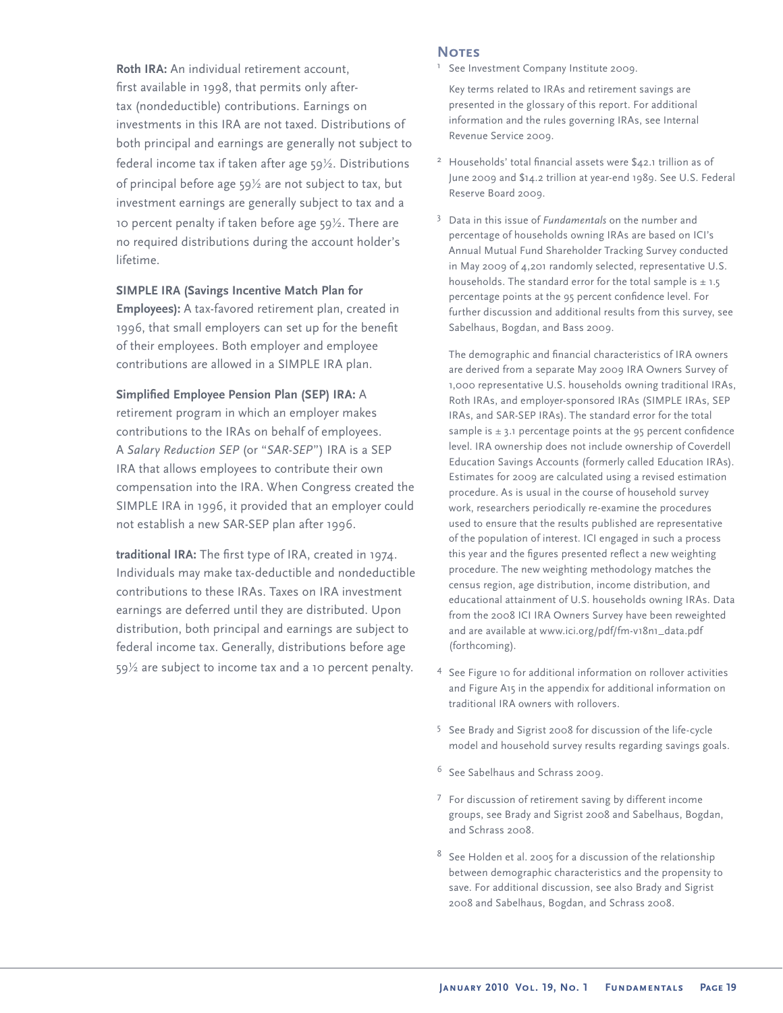**Roth IRA:** An individual retirement account, first available in 1998, that permits only aftertax (nondeductible) contributions. Earnings on investments in this IRA are not taxed. Distributions of both principal and earnings are generally not subject to federal income tax if taken after age 59½. Distributions of principal before age 59½ are not subject to tax, but investment earnings are generally subject to tax and a 10 percent penalty if taken before age 59½. There are no required distributions during the account holder's lifetime.

### **SIMPLE IRA (Savings Incentive Match Plan for**

**Employees):** A tax-favored retirement plan, created in 1996, that small employers can set up for the benefit of their employees. Both employer and employee contributions are allowed in a SIMPLE IRA plan.

## **Simplified Employee Pension Plan (SEP) IRA: A**

retirement program in which an employer makes contributions to the IRAs on behalf of employees. A *Salary Reduction SEP* (or "*SAR-SEP*") IRA is a SEP IRA that allows employees to contribute their own compensation into the IRA. When Congress created the SIMPLE IRA in 1996, it provided that an employer could not establish a new SAR-SEP plan after 1996.

traditional IRA: The first type of IRA, created in 1974. Individuals may make tax-deductible and nondeductible contributions to these IRAs. Taxes on IRA investment earnings are deferred until they are distributed. Upon distribution, both principal and earnings are subject to federal income tax. Generally, distributions before age 59½ are subject to income tax and a 10 percent penalty.

### **NOTES**

1See Investment Company Institute 2009.

 Key terms related to IRAs and retirement savings are presented in the glossary of this report. For additional information and the rules governing IRAs, see Internal Revenue Service 2009.

- Households' total financial assets were \$42.1 trillion as of June 2009 and \$14.2 trillion at year-end 1989. See U.S. Federal Reserve Board 2009.
- <sup>3</sup> Data in this issue of *Fundamentals* on the number and percentage of households owning IRAs are based on ICI's Annual Mutual Fund Shareholder Tracking Survey conducted in May 2009 of 4,201 randomly selected, representative U.S. households. The standard error for the total sample is  $\pm$  1.5 percentage points at the 95 percent confidence level. For further discussion and additional results from this survey, see Sabelhaus, Bogdan, and Bass 2009.

The demographic and financial characteristics of IRA owners are derived from a separate May 2009 IRA Owners Survey of 1,000 representative U.S. households owning traditional IRAs, Roth IRAs, and employer-sponsored IRAs (SIMPLE IRAs, SEP IRAs, and SAR-SEP IRAs). The standard error for the total sample is  $\pm$  3.1 percentage points at the 95 percent confidence level. IRA ownership does not include ownership of Coverdell Education Savings Accounts (formerly called Education IRAs). Estimates for 2009 are calculated using a revised estimation procedure. As is usual in the course of household survey work, researchers periodically re-examine the procedures used to ensure that the results published are representative of the population of interest. ICI engaged in such a process this year and the figures presented reflect a new weighting procedure. The new weighting methodology matches the census region, age distribution, income distribution, and educational attainment of U.S. households owning IRAs. Data from the 2008 ICI IRA Owners Survey have been reweighted and are available at www.ici.org/pdf/fm-v18n1\_data.pdf (forthcoming).

- <sup>4</sup> See Figure 10 for additional information on rollover activities and Figure A15 in the appendix for additional information on traditional IRA owners with rollovers.
- <sup>5</sup> See Brady and Sigrist 2008 for discussion of the life-cycle model and household survey results regarding savings goals.
- <sup>6</sup> See Sabelhaus and Schrass 2009.
- <sup>7</sup> For discussion of retirement saving by different income groups, see Brady and Sigrist 2008 and Sabelhaus, Bogdan, and Schrass 2008.
- $8<sup>8</sup>$  See Holden et al. 2005 for a discussion of the relationship between demographic characteristics and the propensity to save. For additional discussion, see also Brady and Sigrist 2008 and Sabelhaus, Bogdan, and Schrass 2008.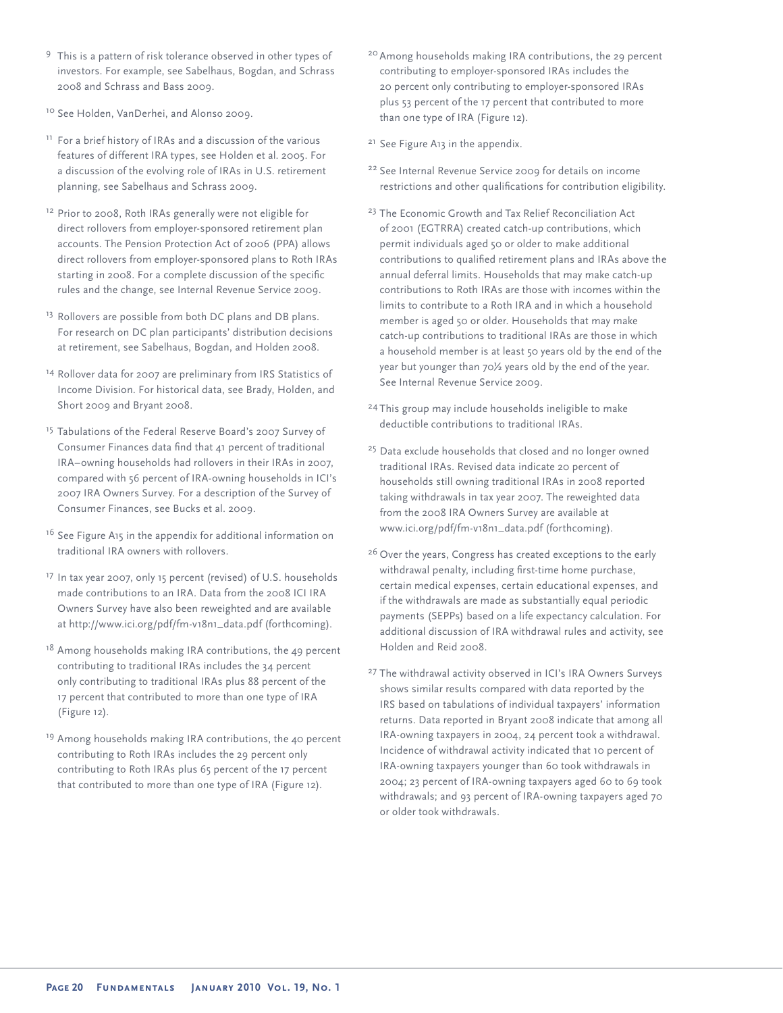- <sup>9</sup> This is a pattern of risk tolerance observed in other types of investors. For example, see Sabelhaus, Bogdan, and Schrass 2008 and Schrass and Bass 2009.
- <sup>10</sup> See Holden, VanDerhei, and Alonso 2009.
- <sup>11</sup> For a brief history of IRAs and a discussion of the various features of different IRA types, see Holden et al. 2005. For a discussion of the evolving role of IRAs in U.S. retirement planning, see Sabelhaus and Schrass 2009.
- <sup>12</sup> Prior to 2008, Roth IRAs generally were not eligible for direct rollovers from employer-sponsored retirement plan accounts. The Pension Protection Act of 2006 (PPA) allows direct rollovers from employer-sponsored plans to Roth IRAs starting in 2008. For a complete discussion of the specific rules and the change, see Internal Revenue Service 2009.
- <sup>13</sup> Rollovers are possible from both DC plans and DB plans. For research on DC plan participants' distribution decisions at retirement, see Sabelhaus, Bogdan, and Holden 2008.
- <sup>14</sup> Rollover data for 2007 are preliminary from IRS Statistics of Income Division. For historical data, see Brady, Holden, and Short 2009 and Bryant 2008.
- <sup>15</sup> Tabulations of the Federal Reserve Board's 2007 Survey of Consumer Finances data find that 41 percent of traditional IRA–owning households had rollovers in their IRAs in 2007, compared with 56 percent of IRA-owning households in ICI's 2007 IRA Owners Survey. For a description of the Survey of Consumer Finances, see Bucks et al. 2009.
- <sup>16</sup> See Figure A15 in the appendix for additional information on traditional IRA owners with rollovers.
- <sup>17</sup> In tax year 2007, only 15 percent (revised) of U.S. households made contributions to an IRA. Data from the 2008 ICI IRA Owners Survey have also been reweighted and are available at http://www.ici.org/pdf/fm-v18n1\_data.pdf (forthcoming).
- $18$  Among households making IRA contributions, the 49 percent contributing to traditional IRAs includes the 34 percent only contributing to traditional IRAs plus 88 percent of the 17 percent that contributed to more than one type of IRA (Figure 12).
- <sup>19</sup> Among households making IRA contributions, the 40 percent contributing to Roth IRAs includes the 29 percent only contributing to Roth IRAs plus 65 percent of the 17 percent that contributed to more than one type of IRA (Figure 12).
- <sup>20</sup> Among households making IRA contributions, the 29 percent contributing to employer-sponsored IRAs includes the 20 percent only contributing to employer-sponsored IRAs plus 53 percent of the 17 percent that contributed to more than one type of IRA (Figure 12).
- <sup>21</sup> See Figure A13 in the appendix.
- <sup>22</sup> See Internal Revenue Service 2009 for details on income restrictions and other qualifications for contribution eligibility.
- <sup>23</sup> The Economic Growth and Tax Relief Reconciliation Act of 2001 (EGTRRA) created catch-up contributions, which permit individuals aged 50 or older to make additional contributions to qualified retirement plans and IRAs above the annual deferral limits. Households that may make catch-up contributions to Roth IRAs are those with incomes within the limits to contribute to a Roth IRA and in which a household member is aged 50 or older. Households that may make catch-up contributions to traditional IRAs are those in which a household member is at least 50 years old by the end of the year but younger than 70½ years old by the end of the year. See Internal Revenue Service 2009.
- <sup>24</sup> This group may include households ineligible to make deductible contributions to traditional IRAs.
- <sup>25</sup> Data exclude households that closed and no longer owned traditional IRAs. Revised data indicate 20 percent of households still owning traditional IRAs in 2008 reported taking withdrawals in tax year 2007. The reweighted data from the 2008 IRA Owners Survey are available at www.ici.org/pdf/fm-v18n1\_data.pdf (forthcoming).
- <sup>26</sup> Over the years, Congress has created exceptions to the early withdrawal penalty, including first-time home purchase, certain medical expenses, certain educational expenses, and if the withdrawals are made as substantially equal periodic payments (SEPPs) based on a life expectancy calculation. For additional discussion of IRA withdrawal rules and activity, see Holden and Reid 2008.
- <sup>27</sup> The withdrawal activity observed in ICI's IRA Owners Surveys shows similar results compared with data reported by the IRS based on tabulations of individual taxpayers' information returns. Data reported in Bryant 2008 indicate that among all IRA-owning taxpayers in 2004, 24 percent took a withdrawal. Incidence of withdrawal activity indicated that 10 percent of IRA-owning taxpayers younger than 60 took withdrawals in 2004; 23 percent of IRA-owning taxpayers aged 60 to 69 took withdrawals; and 93 percent of IRA-owning taxpayers aged 70 or older took withdrawals.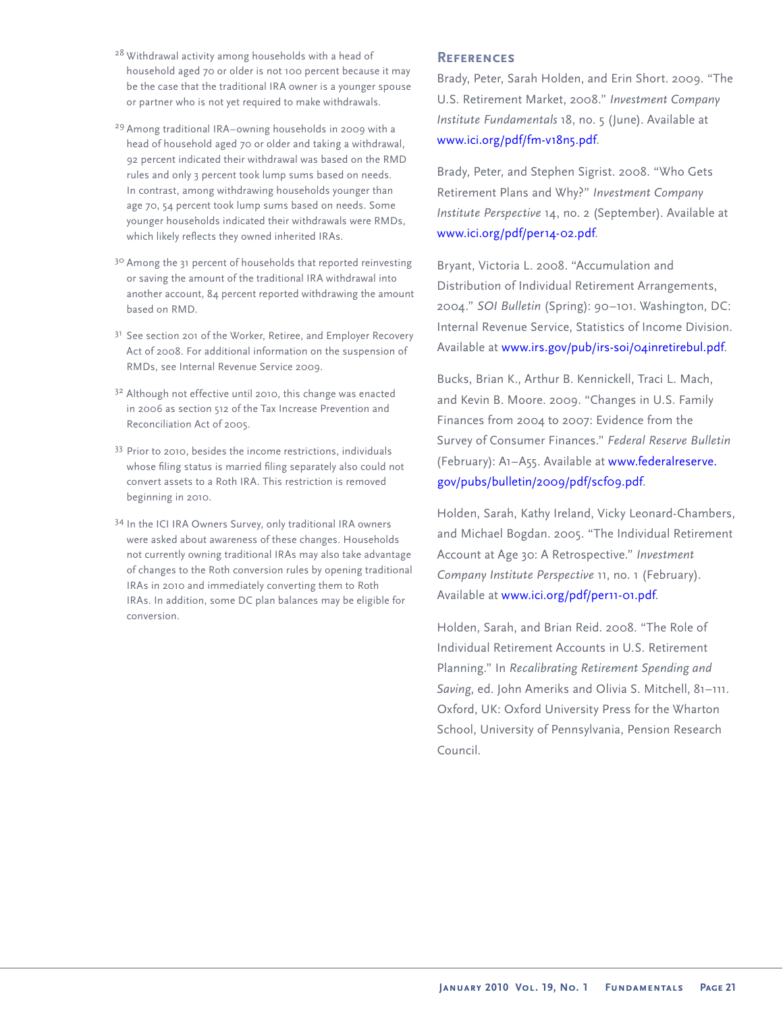- <sup>28</sup> Withdrawal activity among households with a head of household aged 70 or older is not 100 percent because it may be the case that the traditional IRA owner is a younger spouse or partner who is not yet required to make withdrawals.
- <sup>29</sup> Among traditional IRA–owning households in 2009 with a head of household aged 70 or older and taking a withdrawal, 92 percent indicated their withdrawal was based on the RMD rules and only 3 percent took lump sums based on needs. In contrast, among withdrawing households younger than age 70, 54 percent took lump sums based on needs. Some younger households indicated their withdrawals were RMDs, which likely reflects they owned inherited IRAs.
- <sup>30</sup> Among the 31 percent of households that reported reinvesting or saving the amount of the traditional IRA withdrawal into another account, 84 percent reported withdrawing the amount based on RMD.
- <sup>31</sup> See section 201 of the Worker, Retiree, and Employer Recovery Act of 2008. For additional information on the suspension of RMDs, see Internal Revenue Service 2009.
- <sup>32</sup> Although not effective until 2010, this change was enacted in 2006 as section 512 of the Tax Increase Prevention and Reconciliation Act of 2005.
- 33 Prior to 2010, besides the income restrictions, individuals whose filing status is married filing separately also could not convert assets to a Roth IRA. This restriction is removed beginning in 2010.
- <sup>34</sup> In the ICI IRA Owners Survey, only traditional IRA owners were asked about awareness of these changes. Households not currently owning traditional IRAs may also take advantage of changes to the Roth conversion rules by opening traditional IRAs in 2010 and immediately converting them to Roth IRAs. In addition, some DC plan balances may be eligible for conversion.

# **References**

Brady, Peter, Sarah Holden, and Erin Short. 2009. "The U.S. Retirement Market, 2008." *Investment Company Institute Fundamentals* 18, no. 5 (June). Available at [www.ici.org/pdf/fm-v18n5.pdf.](http://www.ici.org/pdf/fm-v18n5.pdf)

Brady, Peter, and Stephen Sigrist. 2008. "Who Gets Retirement Plans and Why?" *Investment Company Institute Perspective* 14, no. 2 (September). Available at [www.ici.org/pdf/per14-02.pdf.](http://www.ici.org/pdf/per14-02.pdf)

Bryant, Victoria L. 2008. "Accumulation and Distribution of Individual Retirement Arrangements, 2004." *SOI Bulletin* (Spring): 90–101. Washington, DC: Internal Revenue Service, Statistics of Income Division. Available at [www.irs.gov/pub/irs-soi/04inretirebul.pdf.](http://www.irs.gov/pub/irs-soi/04inretirebul.pdf)

Bucks, Brian K., Arthur B. Kennickell, Traci L. Mach, and Kevin B. Moore. 2009. "Changes in U.S. Family Finances from 2004 to 2007: Evidence from the Survey of Consumer Finances." *Federal Reserve Bulletin* [\(February\): A1–A55. Available at www.federalreserve.](http://www.federalreserve.gov/pubs/bulletin/2009/pdf/scf09.pdf) gov/pubs/bulletin/2009/pdf/scf09.pdf.

Holden, Sarah, Kathy Ireland, Vicky Leonard-Chambers, and Michael Bogdan. 2005. "The Individual Retirement Account at Age 30: A Retrospective." *Investment Company Institute Perspective* 11, no. 1 (February). Available at [www.ici.org/pdf/per11-01.pdf](http://www.ici.org/pdf/per11-01.pdf).

Holden, Sarah, and Brian Reid. 2008. "The Role of Individual Retirement Accounts in U.S. Retirement Planning." In *Recalibrating Retirement Spending and Saving*, ed. John Ameriks and Olivia S. Mitchell, 81–111. Oxford, UK: Oxford University Press for the Wharton School, University of Pennsylvania, Pension Research Council.